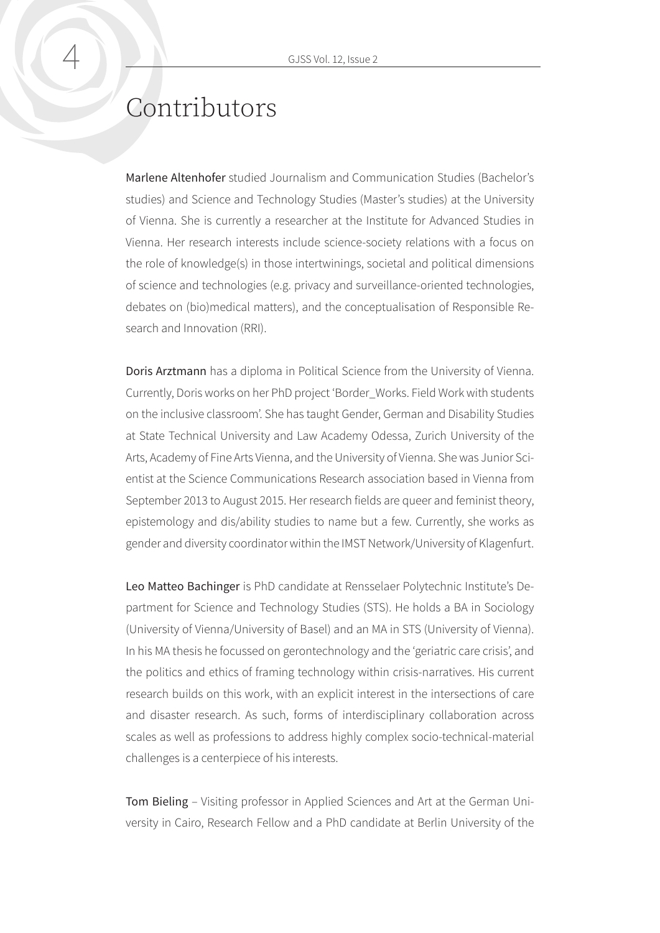## Contributors

Marlene Altenhofer studied Journalism and Communication Studies (Bachelor's studies) and Science and Technology Studies (Master's studies) at the University of Vienna. She is currently a researcher at the Institute for Advanced Studies in Vienna. Her research interests include science-society relations with a focus on the role of knowledge(s) in those intertwinings, societal and political dimensions of science and technologies (e.g. privacy and surveillance-oriented technologies, debates on (bio)medical matters), and the conceptualisation of Responsible Research and Innovation (RRI).

Doris Arztmann has a diploma in Political Science from the University of Vienna. Currently, Doris works on her PhD project 'Border\_Works. Field Work with students on the inclusive classroom'. She has taught Gender, German and Disability Studies at State Technical University and Law Academy Odessa, Zurich University of the Arts, Academy of Fine Arts Vienna, and the University of Vienna. She was Junior Scientist at the Science Communications Research association based in Vienna from September 2013 to August 2015. Her research fields are queer and feminist theory, epistemology and dis/ability studies to name but a few. Currently, she works as gender and diversity coordinator within the IMST Network/University of Klagenfurt.

Leo Matteo Bachinger is PhD candidate at Rensselaer Polytechnic Institute's Department for Science and Technology Studies (STS). He holds a BA in Sociology (University of Vienna/University of Basel) and an MA in STS (University of Vienna). In his MA thesis he focussed on gerontechnology and the 'geriatric care crisis', and the politics and ethics of framing technology within crisis-narratives. His current research builds on this work, with an explicit interest in the intersections of care and disaster research. As such, forms of interdisciplinary collaboration across scales as well as professions to address highly complex socio-technical-material challenges is a centerpiece of his interests.

Tom Bieling – Visiting professor in Applied Sciences and Art at the German University in Cairo, Research Fellow and a PhD candidate at Berlin University of the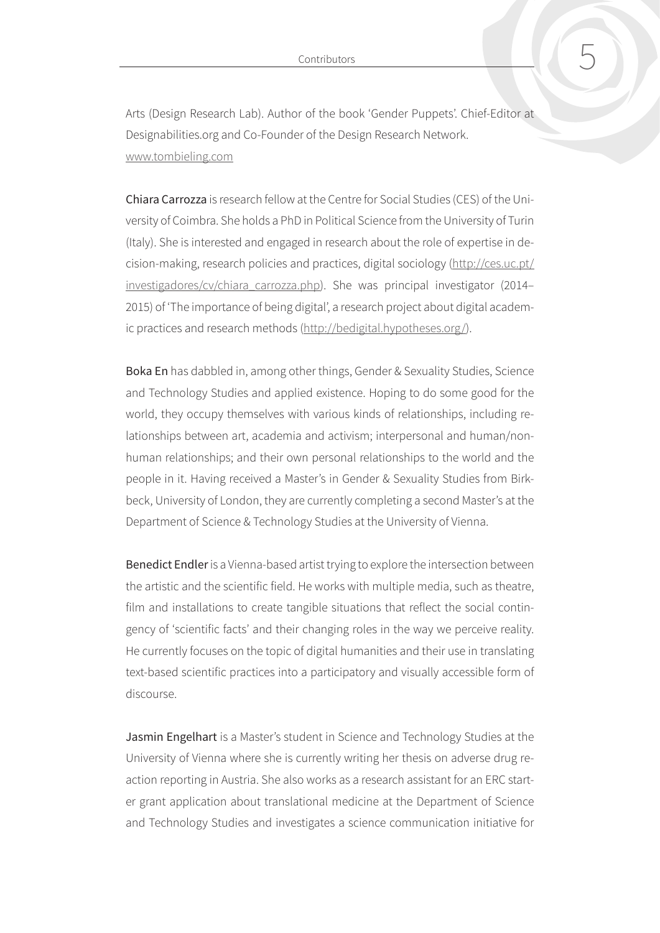Contributors 5

Arts (Design Research Lab). Author of the book 'Gender Puppets'. Chief-Editor at Designabilities.org and Co-Founder of the Design Research Network. [www.tombieling.com](http://www.tombieling.com)

Chiara Carrozza is research fellow at the Centre for Social Studies (CES) of the University of Coimbra. She holds a PhD in Political Science from the University of Turin (Italy). She is interested and engaged in research about the role of expertise in decision-making, research policies and practices, digital sociology [\(http://ces.uc.pt/](http://ces.uc.pt/investigadores/cv/chiara_carrozza.php) [investigadores/cv/chiara\\_carrozza.php\)](http://ces.uc.pt/investigadores/cv/chiara_carrozza.php). She was principal investigator (2014– 2015) of 'The importance of being digital', a research project about digital academic practices and research methods (<http://bedigital.hypotheses.org/>).

Boka En has dabbled in, among other things, Gender & Sexuality Studies, Science and Technology Studies and applied existence. Hoping to do some good for the world, they occupy themselves with various kinds of relationships, including relationships between art, academia and activism; interpersonal and human/nonhuman relationships; and their own personal relationships to the world and the people in it. Having received a Master's in Gender & Sexuality Studies from Birkbeck, University of London, they are currently completing a second Master's at the Department of Science & Technology Studies at the University of Vienna.

Benedict Endler is a Vienna-based artist trying to explore the intersection between the artistic and the scientific field. He works with multiple media, such as theatre, film and installations to create tangible situations that reflect the social contingency of 'scientific facts' and their changing roles in the way we perceive reality. He currently focuses on the topic of digital humanities and their use in translating text-based scientific practices into a participatory and visually accessible form of discourse.

Jasmin Engelhart is a Master's student in Science and Technology Studies at the University of Vienna where she is currently writing her thesis on adverse drug reaction reporting in Austria. She also works as a research assistant for an ERC starter grant application about translational medicine at the Department of Science and Technology Studies and investigates a science communication initiative for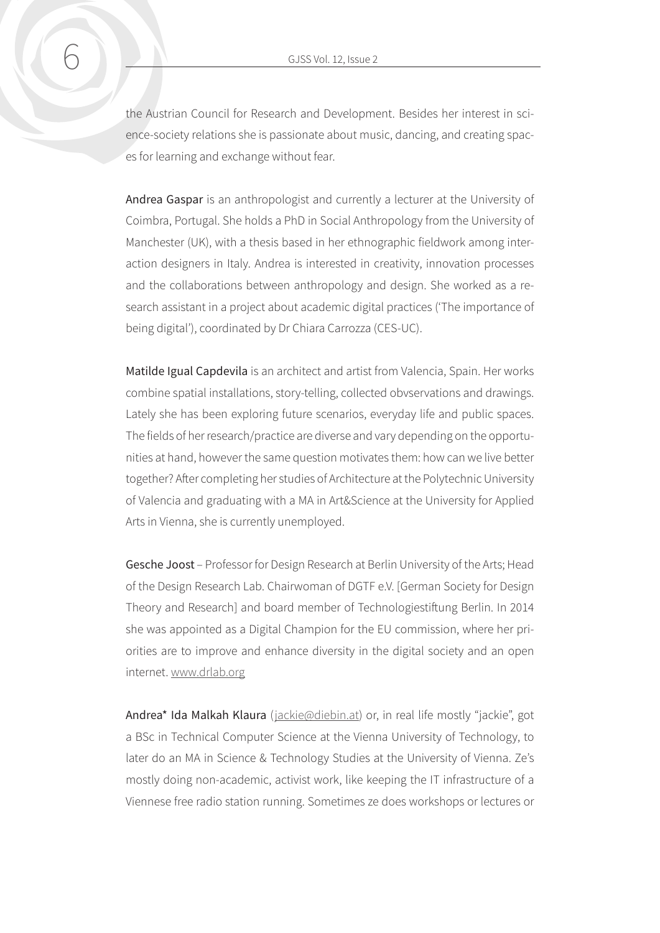the Austrian Council for Research and Development. Besides her interest in science-society relations she is passionate about music, dancing, and creating spaces for learning and exchange without fear.

Andrea Gaspar is an anthropologist and currently a lecturer at the University of Coimbra, Portugal. She holds a PhD in Social Anthropology from the University of Manchester (UK), with a thesis based in her ethnographic fieldwork among interaction designers in Italy. Andrea is interested in creativity, innovation processes and the collaborations between anthropology and design. She worked as a research assistant in a project about academic digital practices ('The importance of being digital'), coordinated by Dr Chiara Carrozza (CES-UC).

Matilde Igual Capdevila is an architect and artist from Valencia, Spain. Her works combine spatial installations, story-telling, collected obvservations and drawings. Lately she has been exploring future scenarios, everyday life and public spaces. The fields of her research/practice are diverse and vary depending on the opportunities at hand, however the same question motivates them: how can we live better together? After completing her studies of Architecture at the Polytechnic University of Valencia and graduating with a MA in Art&Science at the University for Applied Arts in Vienna, she is currently unemployed.

Gesche Joost – Professor for Design Research at Berlin University of the Arts; Head of the Design Research Lab. Chairwoman of DGTF e.V. [German Society for Design Theory and Research] and board member of Technologiestiftung Berlin. In 2014 she was appointed as a Digital Champion for the EU commission, where her priorities are to improve and enhance diversity in the digital society and an open internet. [www.drlab.org](http://www.drlab.org)

Andrea\* Ida Malkah Klaura ([jackie@diebin.at\)](mailto:jackie@diebin.at) or, in real life mostly "jackie", got a BSc in Technical Computer Science at the Vienna University of Technology, to later do an MA in Science & Technology Studies at the University of Vienna. Ze's mostly doing non-academic, activist work, like keeping the IT infrastructure of a Viennese free radio station running. Sometimes ze does workshops or lectures or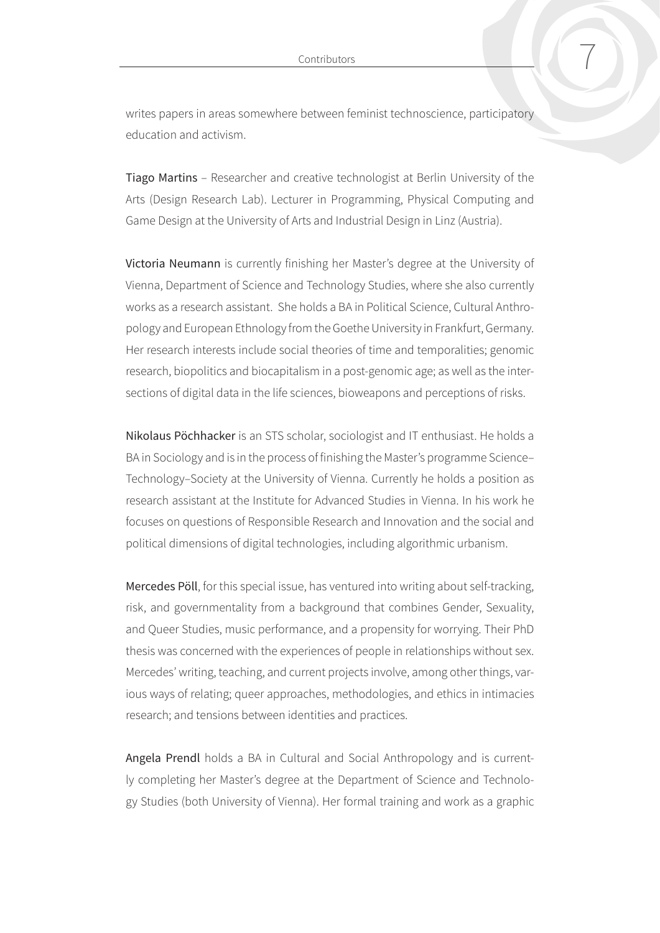writes papers in areas somewhere between feminist technoscience, participatory education and activism.

Tiago Martins – Researcher and creative technologist at Berlin University of the Arts (Design Research Lab). Lecturer in Programming, Physical Computing and Game Design at the University of Arts and Industrial Design in Linz (Austria).

Victoria Neumann is currently finishing her Master's degree at the University of Vienna, Department of Science and Technology Studies, where she also currently works as a research assistant. She holds a BA in Political Science, Cultural Anthropology and European Ethnology from the Goethe University in Frankfurt, Germany. Her research interests include social theories of time and temporalities; genomic research, biopolitics and biocapitalism in a post-genomic age; as well as the intersections of digital data in the life sciences, bioweapons and perceptions of risks.

Nikolaus Pöchhacker is an STS scholar, sociologist and IT enthusiast. He holds a BA in Sociology and is in the process of finishing the Master's programme Science– Technology–Society at the University of Vienna. Currently he holds a position as research assistant at the Institute for Advanced Studies in Vienna. In his work he focuses on questions of Responsible Research and Innovation and the social and political dimensions of digital technologies, including algorithmic urbanism.

Mercedes Pöll, for this special issue, has ventured into writing about self-tracking, risk, and governmentality from a background that combines Gender, Sexuality, and Queer Studies, music performance, and a propensity for worrying. Their PhD thesis was concerned with the experiences of people in relationships without sex. Mercedes' writing, teaching, and current projects involve, among other things, various ways of relating; queer approaches, methodologies, and ethics in intimacies research; and tensions between identities and practices.

Angela Prendl holds a BA in Cultural and Social Anthropology and is currently completing her Master's degree at the Department of Science and Technology Studies (both University of Vienna). Her formal training and work as a graphic